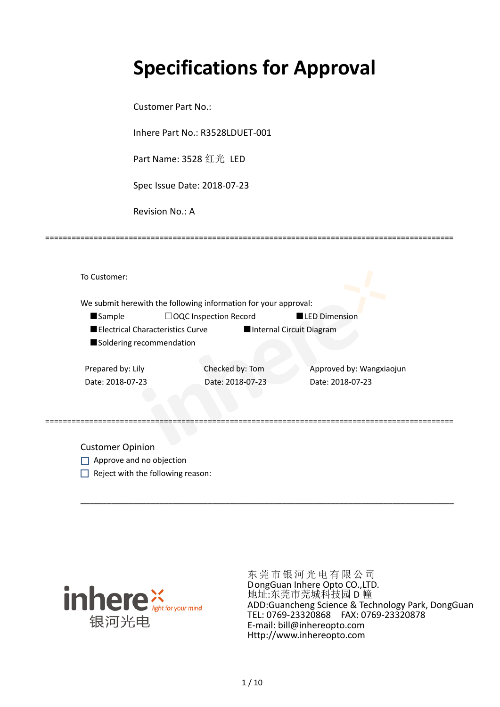# **Specifications for Approval**

Customer Part No.:

Inhere Part No.: R3528LDUET-001

Part Name: 3528 红光 LED

Spec Issue Date: 2018-07-23

Revision No.: A

|                                  | We submit herewith the following information for your approval: |                          |
|----------------------------------|-----------------------------------------------------------------|--------------------------|
| <b>Sample</b>                    | $\Box$ OQC Inspection Record                                    | <b>LED Dimension</b>     |
| Electrical Characteristics Curve |                                                                 | Internal Circuit Diagram |
| Soldering recommendation         |                                                                 |                          |
|                                  |                                                                 |                          |
| Prepared by: Lily                | Checked by: Tom                                                 | Approved by: Wangxiaojun |
| Date: 2018-07-23                 | Date: 2018-07-23                                                | Date: 2018-07-23         |
|                                  |                                                                 |                          |
|                                  |                                                                 |                          |

\_\_\_\_\_\_\_\_\_\_\_\_\_\_\_\_\_\_\_\_\_\_\_\_\_\_\_\_\_\_\_\_\_\_\_\_\_\_\_\_\_\_\_\_\_\_\_\_\_\_\_\_\_\_\_\_\_\_\_\_\_\_\_\_\_\_\_\_\_\_\_\_\_\_\_\_\_\_\_\_\_\_\_\_\_

=============================================================================================

Customer Opinion

- Approve and no objection
- $\Box$  Reject with the following reason:



东莞市银河光电有限公司 DongGuan Inhere Opto CO.,LTD. 地址:东莞市莞城科技园 D 幢 ADD:Guancheng Science & Technology Park, DongGuan TEL: 0769-23320868 FAX: 0769-23320878 E-mail: bill@inhereopto.com Http://www.inhereopto.com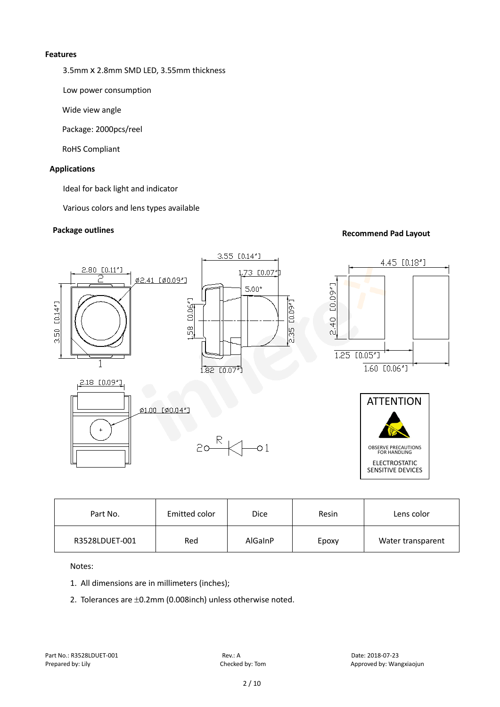#### **Features**

3.5mm x 2.8mm SMD LED, 3.55mm thickness

Low power consumption

Wide view angle

Package: 2000pcs/reel

RoHS Compliant

#### **Applications**

Ideal for back light and indicator

Various colors and lens types available

## **Package outlines Recommend Pad Layout Recommend Pad Layout**



| Part No.       | Emitted color | <b>Dice</b> | Resin | Lens color        |
|----------------|---------------|-------------|-------|-------------------|
| R3528LDUET-001 | Red           | AlGaInP     | Epoxy | Water transparent |

Notes:

- 1. All dimensions are in millimeters (inches);
- 2. Tolerances are ±0.2mm (0.008inch) unless otherwise noted.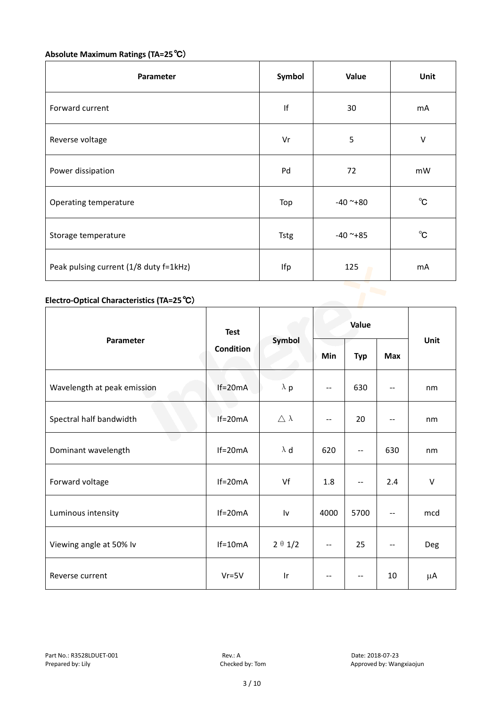# **Absolute Maximum Ratings (TA=25**℃)

| Parameter                              | Symbol      | Value      | Unit         |
|----------------------------------------|-------------|------------|--------------|
| Forward current                        | If          | 30         | mA           |
| Reverse voltage                        | Vr          | 5          | V            |
| Power dissipation                      | Pd          | 72         | mW           |
| Operating temperature                  | Top         | $-40$ ~+80 | $^{\circ}$ C |
| Storage temperature                    | <b>Tstg</b> | $-40$ ~+85 | $^{\circ}$ C |
| Peak pulsing current (1/8 duty f=1kHz) | Ifp         | 125        | mA           |

### **Electro-Optical Characteristics (TA=25**℃)

|                             | <b>Test</b> | Symbol                  | Value                    |            |                          |         |
|-----------------------------|-------------|-------------------------|--------------------------|------------|--------------------------|---------|
| Parameter                   | Condition   |                         | Min                      | <b>Typ</b> | Max                      | Unit    |
| Wavelength at peak emission | $If=20mA$   | $\lambda$ p             | $- -$                    | 630        | $-$                      | nm      |
| Spectral half bandwidth     | $If=20mA$   | $\triangle \lambda$     | $-$                      | 20         | $\overline{\phantom{a}}$ | nm      |
| Dominant wavelength         | $If=20mA$   | $\lambda$ d             | 620                      | $-$        | 630                      | nm      |
| Forward voltage             | $If=20mA$   | Vf                      | 1.8                      | --         | 2.4                      | $\sf V$ |
| Luminous intensity          | $If=20mA$   | Iv                      | 4000                     | 5700       | $\qquad \qquad -$        | mcd     |
| Viewing angle at 50% lv     | $If=10mA$   | $2 \theta 1/2$          | $\overline{a}$           | 25         | $-$                      | Deg     |
| Reverse current             | $Vr = 5V$   | $\mathsf{I} \mathsf{r}$ | $\overline{\phantom{a}}$ | --         | 10                       | μA      |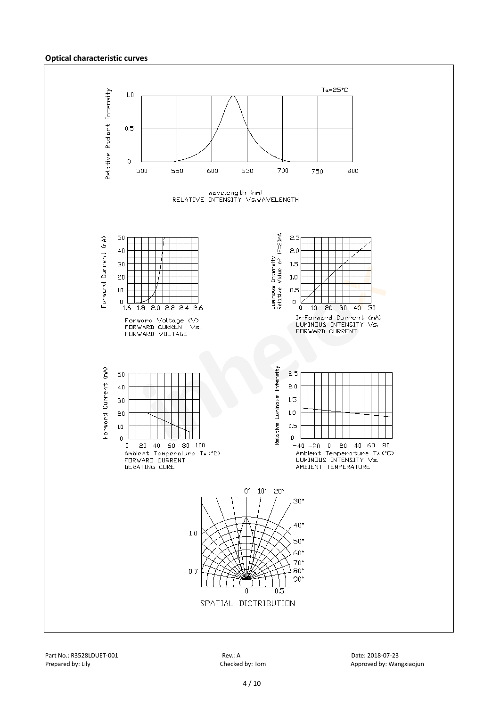#### **Optical characteristic curves**

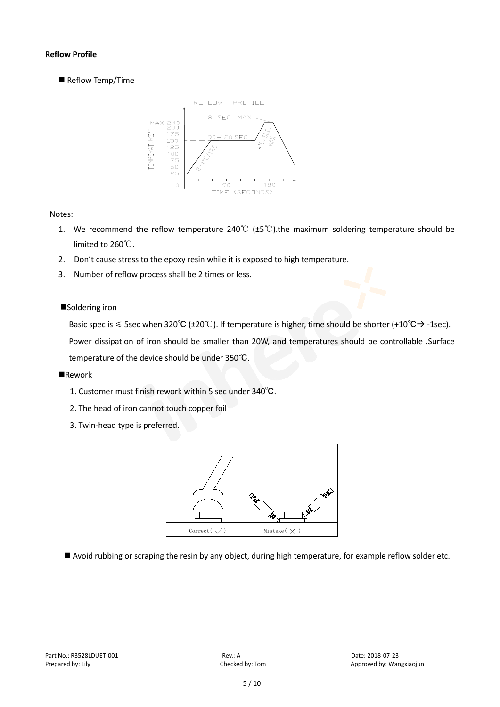#### **Reflow Profile**

Reflow Temp/Time



#### Notes:

- 1. We recommend the reflow temperature 240°C ( $\pm$ 5°C).the maximum soldering temperature should be limited to 260℃.
- 2. Don't cause stress to the epoxy resin while it is exposed to high temperature.
- 3. Number of reflow process shall be 2 times or less.

#### ■Soldering iron

Basic spec is  $\leq$  5sec when 320°C (±20°C). If temperature is higher, time should be shorter (+10°C $\rightarrow$ -1sec).

Power dissipation of iron should be smaller than 20W, and temperatures should be controllable .Surface temperature of the device should be under 350℃.

#### **Rework**

- 1. Customer must finish rework within 5 sec under 340℃.
- 2. The head of iron cannot touch copper foil
- 3. Twin-head type is preferred.



Avoid rubbing or scraping the resin by any object, during high temperature, for example reflow solder etc.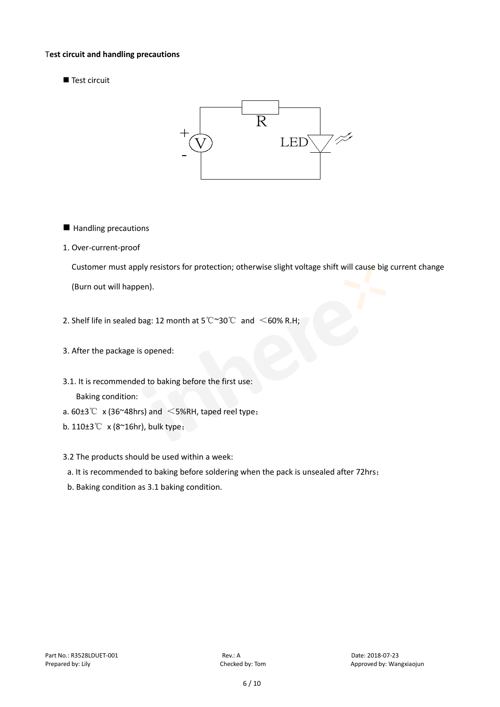#### T**est circuit and handling precautions**

Test circuit



- **Handling precautions**
- 1. Over-current-proof

Customer must apply resistors for protection; otherwise slight voltage shift will cause big current change

(Burn out will happen).

- 2. Shelf life in sealed bag: 12 month at 5℃~30℃ and <60% R.H;
- 3. After the package is opened:
- 3.1. It is recommended to baking before the first use: Baking condition:
- a.  $60±3^{\circ}$  x (36~48hrs) and <5%RH, taped reel type;
- b. 110±3℃ x (8~16hr), bulk type;
- 3.2 The products should be used within a week:
- a. It is recommended to baking before soldering when the pack is unsealed after 72hrs;
- b. Baking condition as 3.1 baking condition.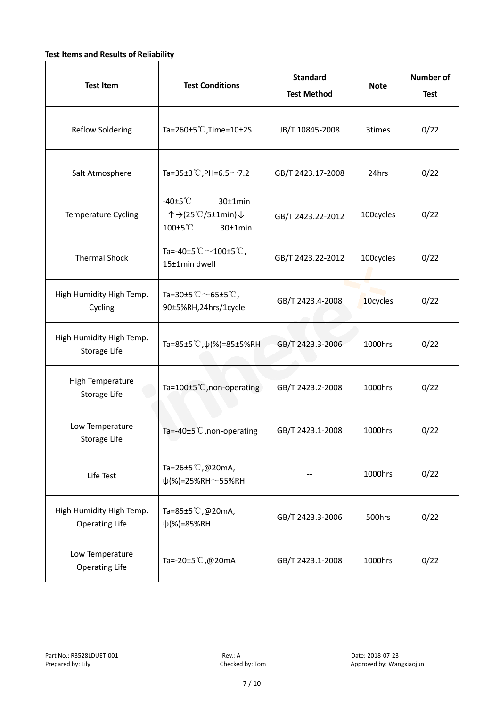#### **Test Items and Results of Reliability**

| <b>Test Item</b>                                  | <b>Test Conditions</b>                                                         | <b>Standard</b><br><b>Test Method</b> | <b>Note</b> | <b>Number of</b><br><b>Test</b> |
|---------------------------------------------------|--------------------------------------------------------------------------------|---------------------------------------|-------------|---------------------------------|
| <b>Reflow Soldering</b>                           | Ta=260 $\pm$ 5 °C, Time=10 $\pm$ 2S                                            | JB/T 10845-2008                       | 3times      | 0/22                            |
| Salt Atmosphere                                   | Ta=35±3°C, PH=6.5 $\sim$ 7.2                                                   | GB/T 2423.17-2008                     | 24hrs       | 0/22                            |
| Temperature Cycling                               | -40 $±5^{\circ}$ C<br>$30±1$ min<br>个→(25℃/5±1min)↓<br>100±5°C<br>$30±1$ min   | GB/T 2423.22-2012                     | 100cycles   | 0/22                            |
| <b>Thermal Shock</b>                              | Ta=-40±5 $\degree \text{C}$ $\sim$ 100±5 $\degree \text{C}$ ,<br>15±1min dwell | GB/T 2423.22-2012                     | 100cycles   | 0/22                            |
| High Humidity High Temp.<br>Cycling               | Ta=30±5 °C $\sim$ 65±5 °C,<br>90±5%RH,24hrs/1cycle                             | GB/T 2423.4-2008                      | 10cycles    | 0/22                            |
| High Humidity High Temp.<br>Storage Life          | Ta=85±5 °C, $\psi$ (%)=85±5%RH                                                 | GB/T 2423.3-2006                      | 1000hrs     | 0/22                            |
| High Temperature<br><b>Storage Life</b>           | Ta=100±5°C, non-operating                                                      | GB/T 2423.2-2008                      | 1000hrs     | 0/22                            |
| Low Temperature<br>Storage Life                   | Ta=-40±5℃, non-operating                                                       | GB/T 2423.1-2008                      | 1000hrs     | 0/22                            |
| Life Test                                         | Ta=26±5℃,@20mA,<br>$\psi$ (%)=25%RH~55%RH                                      |                                       | 1000hrs     | 0/22                            |
| High Humidity High Temp.<br><b>Operating Life</b> | Ta=85±5 $\degree$ C, @20mA,<br>$\psi$ (%)=85%RH                                | GB/T 2423.3-2006                      | 500hrs      | 0/22                            |
| Low Temperature<br><b>Operating Life</b>          | Ta=-20±5℃,@20mA                                                                | GB/T 2423.1-2008                      | 1000hrs     | 0/22                            |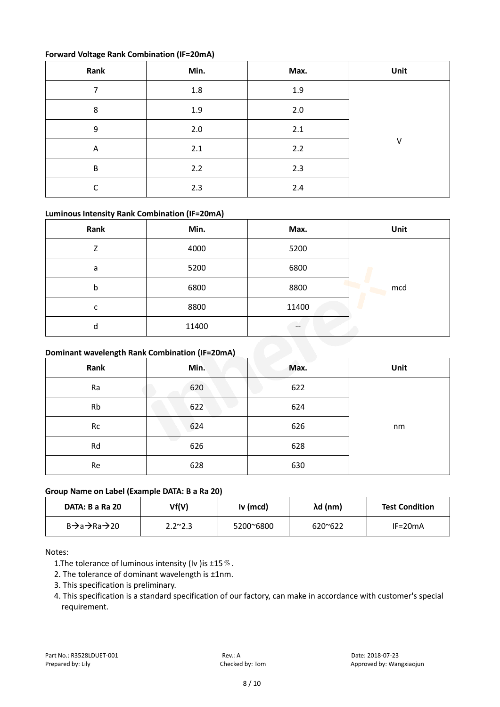#### **Forward Voltage Rank Combination (IF=20mA)**

| Rank                    | Min. | Max. | Unit |
|-------------------------|------|------|------|
| 7                       | 1.8  | 1.9  |      |
| 8                       | 1.9  | 2.0  |      |
| 9                       | 2.0  | 2.1  |      |
| $\overline{\mathsf{A}}$ | 2.1  | 2.2  | V    |
| B                       | 2.2  | 2.3  |      |
| r                       | 2.3  | 2.4  |      |

#### **Luminous Intensity Rank Combination (IF=20mA)**

| Rank | Min.  | Max.                     | Unit |
|------|-------|--------------------------|------|
| Z    | 4000  | 5200                     |      |
| a    | 5200  | 6800                     |      |
| b    | 6800  | 8800                     | mcd  |
| c    | 8800  | 11400                    |      |
| d    | 11400 | $\overline{\phantom{a}}$ |      |

#### **Dominant wavelength Rank Combination (IF=20mA)**

| Rank      | Min. | Max. | Unit |
|-----------|------|------|------|
| Ra        | 620  | 622  |      |
| <b>Rb</b> | 622  | 624  |      |
| Rc        | 624  | 626  | nm   |
| Rd        | 626  | 628  |      |
| Re        | 628  | 630  |      |

#### **Group Name on Label (Example DATA: B a Ra 20)**

| DATA: B a Ra 20 | Vf(V)           | Iv (mcd)  | λd (nm)          | <b>Test Condition</b> |
|-----------------|-----------------|-----------|------------------|-----------------------|
| B→a→Ra→20       | $2.2^{\sim}2.3$ | 5200~6800 | $620^{\circ}622$ | $IF=20mA$             |

#### Notes:

- 1. The tolerance of luminous intensity (Iv ) is  $\pm 15\%$ .
- 2. The tolerance of dominant wavelength is ±1nm.
- 3. This specification is preliminary.
- 4. This specification is a standard specification of our factory, can make in accordance with customer's special requirement.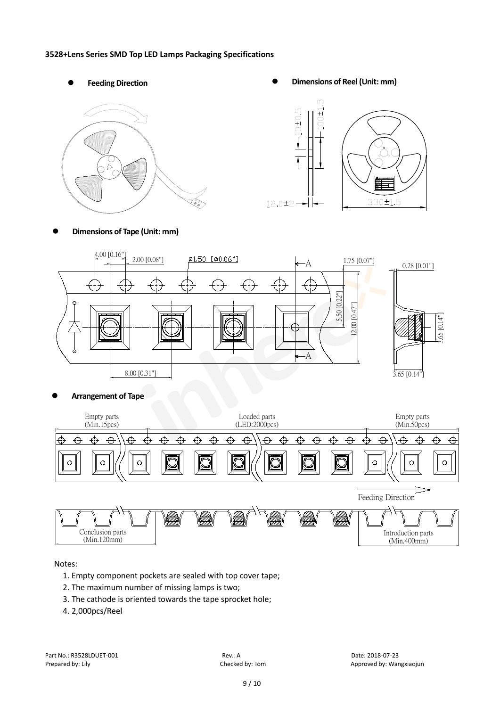#### **3528+Lens Series SMD Top LED Lamps Packaging Specifications**







**Dimensions of Tape (Unit: mm)**



**Arrangement of Tape**



Notes:

- 1. Empty component pockets are sealed with top cover tape;
- 2. The maximum number of missing lamps is two;
- 3. The cathode is oriented towards the tape sprocket hole;
- 4. 2,000pcs/Reel